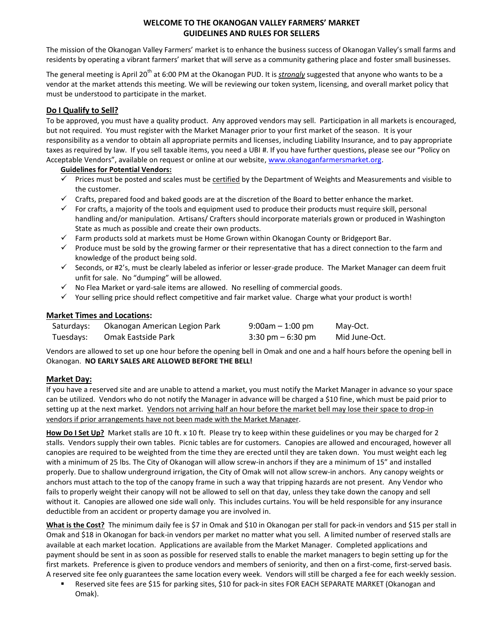## **WELCOME TO THE OKANOGAN VALLEY FARMERS' MARKET GUIDELINES AND RULES FOR SELLERS**

The mission of the Okanogan Valley Farmers' market is to enhance the business success of Okanogan Valley's small farms and residents by operating a vibrant farmers' market that will serve as a community gathering place and foster small businesses.

The general meeting is April 20<sup>th</sup> at 6:00 PM at the Okanogan PUD. It is *strongly* suggested that anyone who wants to be a vendor at the market attends this meeting. We will be reviewing our token system, licensing, and overall market policy that must be understood to participate in the market.

# **Do I Qualify to Sell?**

To be approved, you must have a quality product. Any approved vendors may sell. Participation in all markets is encouraged, but not required. You must register with the Market Manager prior to your first market of the season. It is your responsibility as a vendor to obtain all appropriate permits and licenses, including Liability Insurance, and to pay appropriate taxes as required by law. If you sell taxable items, you need a UBI #. If you have further questions, please see our "Policy on Acceptable Vendors", available on request or online at our website, [www.okanoganfarmersmarket.org.](http://www.okanoganfarmersmarket.org/)

### **Guidelines for Potential Vendors:**

- $\checkmark$  Prices must be posted and scales must be certified by the Department of Weights and Measurements and visible to the customer.
- $\checkmark$  Crafts, prepared food and baked goods are at the discretion of the Board to better enhance the market.
- $\checkmark$  For crafts, a majority of the tools and equipment used to produce their products must require skill, personal handling and/or manipulation. Artisans/ Crafters should incorporate materials grown or produced in Washington State as much as possible and create their own products.
- $\checkmark$  Farm products sold at markets must be Home Grown within Okanogan County or Bridgeport Bar.
- $\checkmark$  Produce must be sold by the growing farmer or their representative that has a direct connection to the farm and knowledge of the product being sold.
- $\checkmark$  Seconds, or #2's, must be clearly labeled as inferior or lesser-grade produce. The Market Manager can deem fruit unfit for sale. No "dumping" will be allowed.
- $\checkmark$  No Flea Market or yard-sale items are allowed. No reselling of commercial goods.
- $\checkmark$  Your selling price should reflect competitive and fair market value. Charge what your product is worth!

### **Market Times and Locations:**

| Saturdays: | Okanogan American Legion Park | $9:00$ am $-1:00$ pm                | May-Oct.      |
|------------|-------------------------------|-------------------------------------|---------------|
| Tuesdays:  | Omak Eastside Park            | $3:30 \text{ pm} - 6:30 \text{ pm}$ | Mid June-Oct. |

Vendors are allowed to set up one hour before the opening bell in Omak and one and a half hours before the opening bell in Okanogan. **NO EARLY SALES ARE ALLOWED BEFORE THE BELL!**

## **Market Day:**

If you have a reserved site and are unable to attend a market, you must notify the Market Manager in advance so your space can be utilized. Vendors who do not notify the Manager in advance will be charged a \$10 fine, which must be paid prior to setting up at the next market. Vendors not arriving half an hour before the market bell may lose their space to drop-in vendors if prior arrangements have not been made with the Market Manager.

**How Do I Set Up?** Market stalls are 10 ft. x 10 ft. Please try to keep within these guidelines or you may be charged for 2 stalls. Vendors supply their own tables. Picnic tables are for customers. Canopies are allowed and encouraged, however all canopies are required to be weighted from the time they are erected until they are taken down. You must weight each leg with a minimum of 25 lbs. The City of Okanogan will allow screw-in anchors if they are a minimum of 15" and installed properly. Due to shallow underground irrigation, the City of Omak will not allow screw-in anchors. Any canopy weights or anchors must attach to the top of the canopy frame in such a way that tripping hazards are not present. Any Vendor who fails to properly weight their canopy will not be allowed to sell on that day, unless they take down the canopy and sell without it. Canopies are allowed one side wall only. This includes curtains. You will be held responsible for any insurance deductible from an accident or property damage you are involved in.

**What is the Cost?** The minimum daily fee is \$7 in Omak and \$10 in Okanogan per stall for pack-in vendors and \$15 per stall in Omak and \$18 in Okanogan for back-in vendors per market no matter what you sell. A limited number of reserved stalls are available at each market location. Applications are available from the Market Manager. Completed applications and payment should be sent in as soon as possible for reserved stalls to enable the market managers to begin setting up for the first markets. Preference is given to produce vendors and members of seniority, and then on a first-come, first-served basis. A reserved site fee only guarantees the same location every week. Vendors will still be charged a fee for each weekly session.

 Reserved site fees are \$15 for parking sites, \$10 for pack-in sites FOR EACH SEPARATE MARKET (Okanogan and Omak).